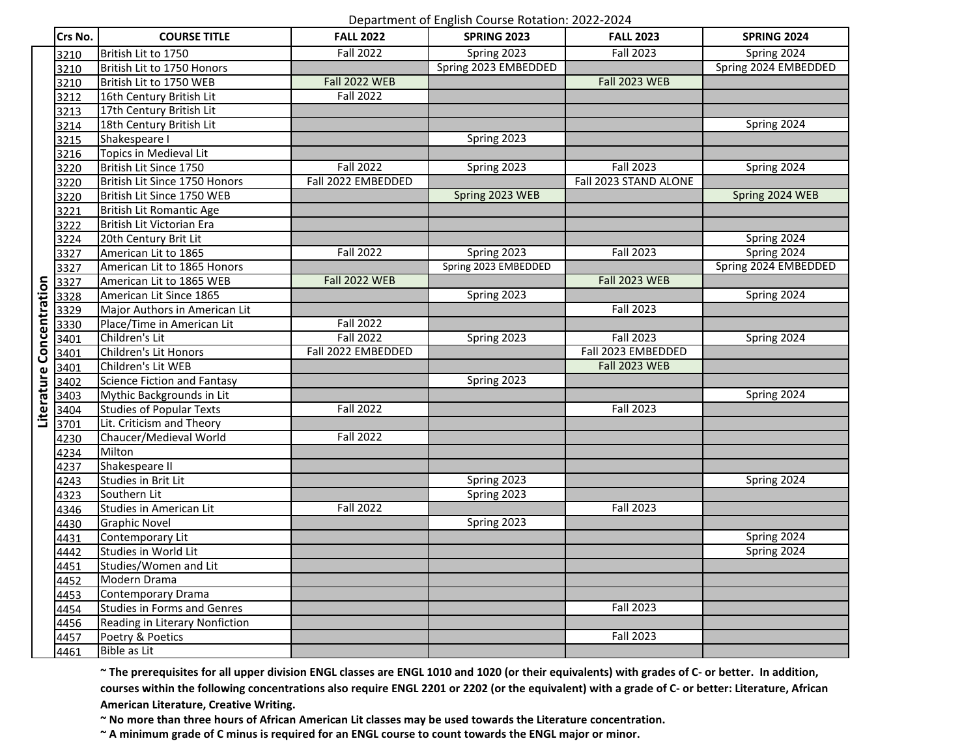## Department of English Course Rotation: 2022-2024

|                          | Crs No. | <b>COURSE TITLE</b>                | <b>FALL 2022</b>     | Department or English course notation. 2022 2024<br><b>SPRING 2023</b> | <b>FALL 2023</b>      | <b>SPRING 2024</b>   |
|--------------------------|---------|------------------------------------|----------------------|------------------------------------------------------------------------|-----------------------|----------------------|
|                          |         |                                    |                      |                                                                        |                       |                      |
|                          | 3210    | British Lit to 1750                | <b>Fall 2022</b>     | Spring 2023                                                            | <b>Fall 2023</b>      | Spring 2024          |
|                          | 3210    | British Lit to 1750 Honors         |                      | Spring 2023 EMBEDDED                                                   |                       | Spring 2024 EMBEDDED |
|                          | 3210    | British Lit to 1750 WEB            | <b>Fall 2022 WEB</b> |                                                                        | <b>Fall 2023 WEB</b>  |                      |
|                          | 3212    | 16th Century British Lit           | <b>Fall 2022</b>     |                                                                        |                       |                      |
|                          | 3213    | 17th Century British Lit           |                      |                                                                        |                       |                      |
|                          | 3214    | 18th Century British Lit           |                      |                                                                        |                       | Spring 2024          |
|                          | 3215    | Shakespeare I                      |                      | Spring 2023                                                            |                       |                      |
|                          | 3216    | Topics in Medieval Lit             |                      |                                                                        |                       |                      |
|                          | 3220    | British Lit Since 1750             | <b>Fall 2022</b>     | Spring 2023                                                            | <b>Fall 2023</b>      | Spring 2024          |
|                          | 3220    | British Lit Since 1750 Honors      | Fall 2022 EMBEDDED   |                                                                        | Fall 2023 STAND ALONE |                      |
|                          | 3220    | British Lit Since 1750 WEB         |                      | Spring 2023 WEB                                                        |                       | Spring 2024 WEB      |
|                          | 3221    | <b>British Lit Romantic Age</b>    |                      |                                                                        |                       |                      |
|                          | 3222    | British Lit Victorian Era          |                      |                                                                        |                       |                      |
|                          | 3224    | 20th Century Brit Lit              |                      |                                                                        |                       | Spring 2024          |
|                          | 3327    | American Lit to 1865               | <b>Fall 2022</b>     | Spring 2023                                                            | <b>Fall 2023</b>      | Spring 2024          |
|                          | 3327    | American Lit to 1865 Honors        |                      | Spring 2023 EMBEDDED                                                   |                       | Spring 2024 EMBEDDED |
|                          | 3327    | American Lit to 1865 WEB           | <b>Fall 2022 WEB</b> |                                                                        | <b>Fall 2023 WEB</b>  |                      |
|                          | 3328    | American Lit Since 1865            |                      | Spring 2023                                                            |                       | Spring 2024          |
|                          | 3329    | Major Authors in American Lit      |                      |                                                                        | <b>Fall 2023</b>      |                      |
|                          | 3330    | Place/Time in American Lit         | <b>Fall 2022</b>     |                                                                        |                       |                      |
|                          | 3401    | Children's Lit                     | <b>Fall 2022</b>     | Spring 2023                                                            | <b>Fall 2023</b>      | Spring 2024          |
|                          | 3401    | Children's Lit Honors              | Fall 2022 EMBEDDED   |                                                                        | Fall 2023 EMBEDDED    |                      |
|                          | 3401    | Children's Lit WEB                 |                      |                                                                        | <b>Fall 2023 WEB</b>  |                      |
|                          | 3402    | <b>Science Fiction and Fantasy</b> |                      | Spring 2023                                                            |                       |                      |
| Literature Concentration | 3403    | Mythic Backgrounds in Lit          |                      |                                                                        |                       | Spring 2024          |
|                          | 3404    | <b>Studies of Popular Texts</b>    | <b>Fall 2022</b>     |                                                                        | <b>Fall 2023</b>      |                      |
|                          | 3701    | Lit. Criticism and Theory          |                      |                                                                        |                       |                      |
|                          | 4230    | Chaucer/Medieval World             | <b>Fall 2022</b>     |                                                                        |                       |                      |
|                          | 4234    | Milton                             |                      |                                                                        |                       |                      |
|                          | 4237    | Shakespeare II                     |                      |                                                                        |                       |                      |
|                          | 4243    | Studies in Brit Lit                |                      | Spring 2023                                                            |                       | Spring 2024          |
|                          | 4323    | Southern Lit                       |                      | Spring 2023                                                            |                       |                      |
|                          | 4346    | Studies in American Lit            | <b>Fall 2022</b>     |                                                                        | <b>Fall 2023</b>      |                      |
|                          | 4430    | <b>Graphic Novel</b>               |                      | Spring 2023                                                            |                       |                      |
|                          | 4431    | Contemporary Lit                   |                      |                                                                        |                       | Spring 2024          |
|                          | 4442    | Studies in World Lit               |                      |                                                                        |                       | Spring 2024          |
|                          | 4451    | Studies/Women and Lit              |                      |                                                                        |                       |                      |
|                          | 4452    | Modern Drama                       |                      |                                                                        |                       |                      |
|                          | 4453    | Contemporary Drama                 |                      |                                                                        |                       |                      |
|                          | 4454    | <b>Studies in Forms and Genres</b> |                      |                                                                        | <b>Fall 2023</b>      |                      |
|                          | 4456    | Reading in Literary Nonfiction     |                      |                                                                        |                       |                      |
|                          | 4457    | Poetry & Poetics                   |                      |                                                                        | <b>Fall 2023</b>      |                      |
|                          | 4461    | <b>Bible as Lit</b>                |                      |                                                                        |                       |                      |
|                          |         |                                    |                      |                                                                        |                       |                      |

**~ The prerequisites for all upper division ENGL classes are ENGL 1010 and 1020 (or their equivalents) with grades of C- or better. In addition, courses within the following concentrations also require ENGL 2201 or 2202 (or the equivalent) with a grade of C- or better: Literature, African American Literature, Creative Writing.**

**~ No more than three hours of African American Lit classes may be used towards the Literature concentration.**

**~ A minimum grade of C minus is required for an ENGL course to count towards the ENGL major or minor.**